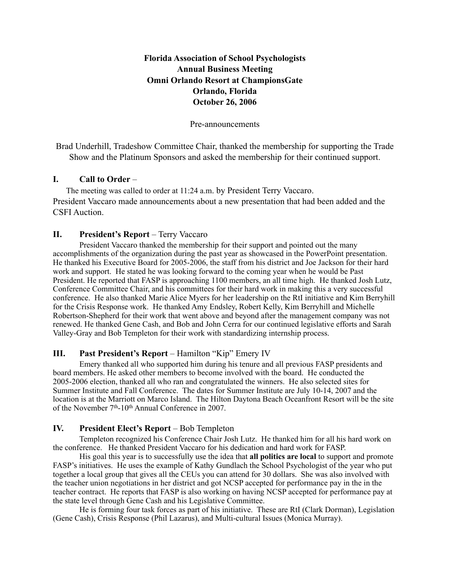# **Florida Association of School Psychologists Annual Business Meeting Omni Orlando Resort at ChampionsGate Orlando, Florida October 26, 2006**

Pre-announcements

Brad Underhill, Tradeshow Committee Chair, thanked the membership for supporting the Trade Show and the Platinum Sponsors and asked the membership for their continued support.

# **I. Call to Order** –

The meeting was called to order at 11:24 a.m. by President Terry Vaccaro. President Vaccaro made announcements about a new presentation that had been added and the CSFI Auction.

### **II. President's Report** – Terry Vaccaro

President Vaccaro thanked the membership for their support and pointed out the many accomplishments of the organization during the past year as showcased in the PowerPoint presentation. He thanked his Executive Board for 2005-2006, the staff from his district and Joe Jackson for their hard work and support. He stated he was looking forward to the coming year when he would be Past President. He reported that FASP is approaching 1100 members, an all time high. He thanked Josh Lutz, Conference Committee Chair, and his committees for their hard work in making this a very successful conference. He also thanked Marie Alice Myers for her leadership on the RtI initiative and Kim Berryhill for the Crisis Response work. He thanked Amy Endsley, Robert Kelly, Kim Berryhill and Michelle Robertson-Shepherd for their work that went above and beyond after the management company was not renewed. He thanked Gene Cash, and Bob and John Cerra for our continued legislative efforts and Sarah Valley-Gray and Bob Templeton for their work with standardizing internship process.

## **III. Past President's Report** – Hamilton "Kip" Emery IV

Emery thanked all who supported him during his tenure and all previous FASP presidents and board members. He asked other members to become involved with the board. He conducted the 2005-2006 election, thanked all who ran and congratulated the winners. He also selected sites for Summer Institute and Fall Conference. The dates for Summer Institute are July 10-14, 2007 and the location is at the Marriott on Marco Island. The Hilton Daytona Beach Oceanfront Resort will be the site of the November 7<sup>th</sup>-10<sup>th</sup> Annual Conference in 2007.

## **IV. President Elect's Report** – Bob Templeton

Templeton recognized his Conference Chair Josh Lutz. He thanked him for all his hard work on the conference. He thanked President Vaccaro for his dedication and hard work for FASP.

His goal this year is to successfully use the idea that **all politics are local** to support and promote FASP's initiatives. He uses the example of Kathy Gundlach the School Psychologist of the year who put together a local group that gives all the CEUs you can attend for 30 dollars. She was also involved with the teacher union negotiations in her district and got NCSP accepted for performance pay in the in the teacher contract. He reports that FASP is also working on having NCSP accepted for performance pay at the state level through Gene Cash and his Legislative Committee.

He is forming four task forces as part of his initiative. These are RtI (Clark Dorman), Legislation (Gene Cash), Crisis Response (Phil Lazarus), and Multi-cultural Issues (Monica Murray).